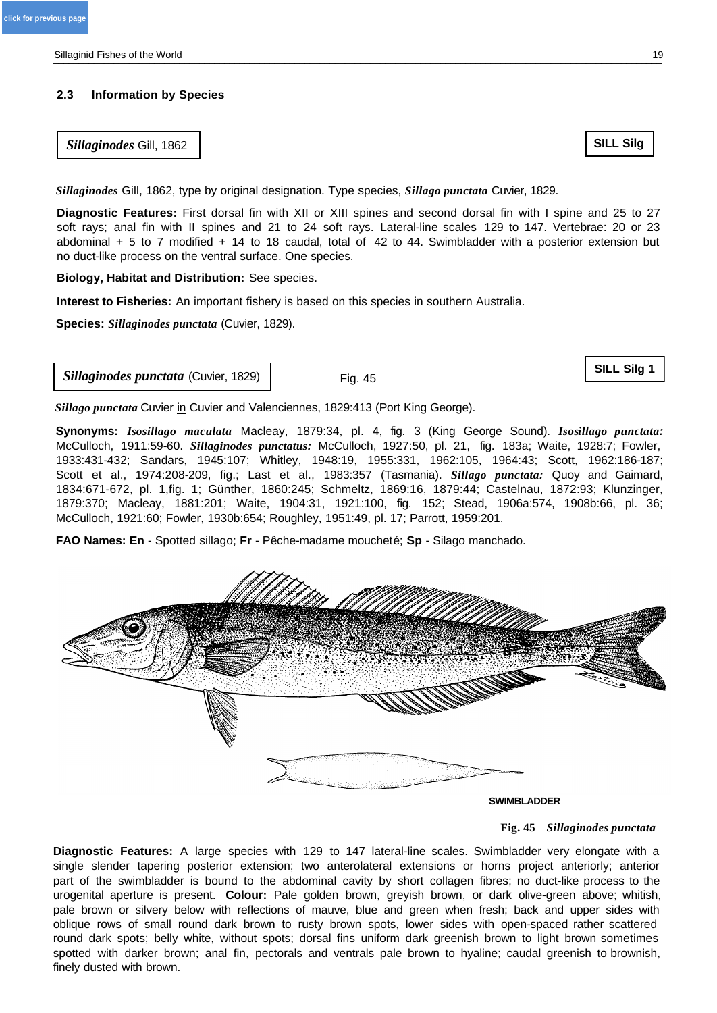## **2.3 Information by Species**

**Sillaginodes** Gill, 1862 **Sillaginodes** Gill, 1862 **Sillaginodes** Gill, 1862 **SILL Silg 31 SILL Silg 31 SILL Silg** 

*Sillaginodes* Gill, 1862, type by original designation. Type species, *Sillago punctata* Cuvier, 1829.

**Diagnostic Features:** First dorsal fin with XII or XIII spines and second dorsal fin with I spine and 25 to 27 soft rays; anal fin with II spines and 21 to 24 soft rays. Lateral-line scales 129 to 147. Vertebrae: 20 or 23 abdominal + 5 to 7 modified + 14 to 18 caudal, total of 42 to 44. Swimbladder with a posterior extension but no duct-like process on the ventral surface. One species.

**Biology, Habitat and Distribution:** See species.

**Interest to Fisheries:** An important fishery is based on this species in southern Australia.

**Species:** *Sillaginodes punctata* (Cuvier, 1829).

*Sillaginodes punctata* (Cuvier, 1829)

*Sillago punctata* Cuvier in Cuvier and Valenciennes, 1829:413 (Port King George).

**Synonyms:** *Isosillago maculata* Macleay, 1879:34, pl. 4, fig. 3 (King George Sound). *Isosillago punctata:*  McCulloch, 1911:59-60. *Sillaginodes punctatus:* McCulloch, 1927:50, pl. 21, fig. 183a; Waite, 1928:7; Fowler, 1933:431-432; Sandars, 1945:107; Whitley, 1948:19, 1955:331, 1962:105, 1964:43; Scott, 1962:186-187; Scott et al., 1974:208-209, fig.; Last et al., 1983:357 (Tasmania). *Sillago punctata:* Quoy and Gaimard, 1834:671-672, pl. 1,fig. 1; Günther, 1860:245; Schmeltz, 1869:16, 1879:44; Castelnau, 1872:93; Klunzinger, 1879:370; Macleay, 1881:201; Waite, 1904:31, 1921:100, fig. 152; Stead, 1906a:574, 1908b:66, pl. 36; McCulloch, 1921:60; Fowler, 1930b:654; Roughley, 1951:49, pl. 17; Parrott, 1959:201.

**FAO Names: En** - Spotted sillago; **Fr** - Pêche-madame moucheté; **Sp** - Silago manchado.

<u>The COOL Of The Boyle</u> **SWIMBLADDER Fig. 45** *Sillaginodes punctata*

**Diagnostic Features:** A large species with 129 to 147 lateral-line scales. Swimbladder very elongate with a single slender tapering posterior extension; two anterolateral extensions or horns project anteriorly; anterior part of the swimbladder is bound to the abdominal cavity by short collagen fibres; no duct-like process to the urogenital aperture is present. **Colour:** Pale golden brown, greyish brown, or dark olive-green above; whitish, pale brown or silvery below with reflections of mauve, blue and green when fresh; back and upper sides with oblique rows of small round dark brown to rusty brown spots, lower sides with open-spaced rather scattered round dark spots; belly white, without spots; dorsal fins uniform dark greenish brown to light brown sometimes spotted with darker brown; anal fin, pectorals and ventrals pale brown to hyaline; caudal greenish to brownish, finely dusted with brown.

Fig. 45 **SILL Silg 1**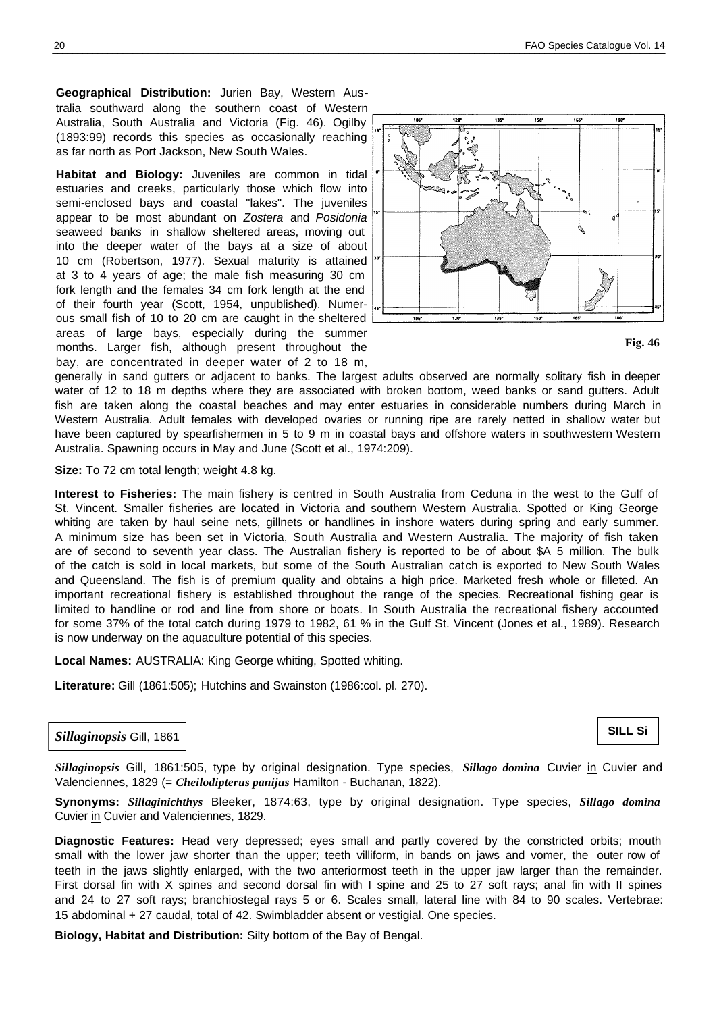**Geographical Distribution:** Jurien Bay, Western Australia southward along the southern coast of Western Australia, South Australia and Victoria (Fig. 46). Ogilby (1893:99) records this species as occasionally reaching as far north as Port Jackson, New South Wales.

**Habitat and Biology:** Juveniles are common in tidal estuaries and creeks, particularly those which flow into semi-enclosed bays and coastal "lakes". The juveniles appear to be most abundant on *Zostera* and *Posidonia*  seaweed banks in shallow sheltered areas, moving out into the deeper water of the bays at a size of about 10 cm (Robertson, 1977). Sexual maturity is attained at 3 to 4 years of age; the male fish measuring 30 cm fork length and the females 34 cm fork length at the end of their fourth year (Scott, 1954, unpublished). Numerous small fish of 10 to 20 cm are caught in the sheltered areas of large bays, especially during the summer months. Larger fish, although present throughout the bay, are concentrated in deeper water of 2 to 18 m,

Ā **Fig. 46**

generally in sand gutters or adjacent to banks. The largest adults observed are normally solitary fish in deeper water of 12 to 18 m depths where they are associated with broken bottom, weed banks or sand gutters. Adult fish are taken along the coastal beaches and may enter estuaries in considerable numbers during March in Western Australia. Adult females with developed ovaries or running ripe are rarely netted in shallow water but have been captured by spearfishermen in 5 to 9 m in coastal bays and offshore waters in southwestern Western Australia. Spawning occurs in May and June (Scott et al., 1974:209).

**Size:** To 72 cm total length; weight 4.8 kg.

**Interest to Fisheries:** The main fishery is centred in South Australia from Ceduna in the west to the Gulf of St. Vincent. Smaller fisheries are located in Victoria and southern Western Australia. Spotted or King George whiting are taken by haul seine nets, gillnets or handlines in inshore waters during spring and early summer. A minimum size has been set in Victoria, South Australia and Western Australia. The majority of fish taken are of second to seventh year class. The Australian fishery is reported to be of about \$A 5 million. The bulk of the catch is sold in local markets, but some of the South Australian catch is exported to New South Wales and Queensland. The fish is of premium quality and obtains a high price. Marketed fresh whole or filleted. An important recreational fishery is established throughout the range of the species. Recreational fishing gear is limited to handline or rod and line from shore or boats. In South Australia the recreational fishery accounted for some 37% of the total catch during 1979 to 1982, 61 % in the Gulf St. Vincent (Jones et al., 1989). Research is now underway on the aquaculture potential of this species.

**Local Names:** AUSTRALIA: King George whiting, Spotted whiting.

**Literature:** Gill (1861:505); Hutchins and Swainston (1986:col. pl. 270).

## *Sillaginopsis* Gill, 1861

*Sillaginopsis* Gill, 1861:505, type by original designation. Type species, *Sillago domina* Cuvier in Cuvier and Valenciennes, 1829 (= *Cheilodipterus panijus* Hamilton - Buchanan, 1822).

**Synonyms:** *Sillaginichthys* Bleeker, 1874:63, type by original designation. Type species, *Sillago domina* Cuvier in Cuvier and Valenciennes, 1829.

**Diagnostic Features:** Head very depressed; eyes small and partly covered by the constricted orbits; mouth small with the lower jaw shorter than the upper; teeth villiform, in bands on jaws and vomer, the outer row of teeth in the jaws slightly enlarged, with the two anteriormost teeth in the upper jaw larger than the remainder. First dorsal fin with X spines and second dorsal fin with I spine and 25 to 27 soft rays; anal fin with II spines and 24 to 27 soft rays; branchiostegal rays 5 or 6. Scales small, lateral line with 84 to 90 scales. Vertebrae: 15 abdominal + 27 caudal, total of 42. Swimbladder absent or vestigial. One species.

**Biology, Habitat and Distribution:** Silty bottom of the Bay of Bengal.

**SILL Si**